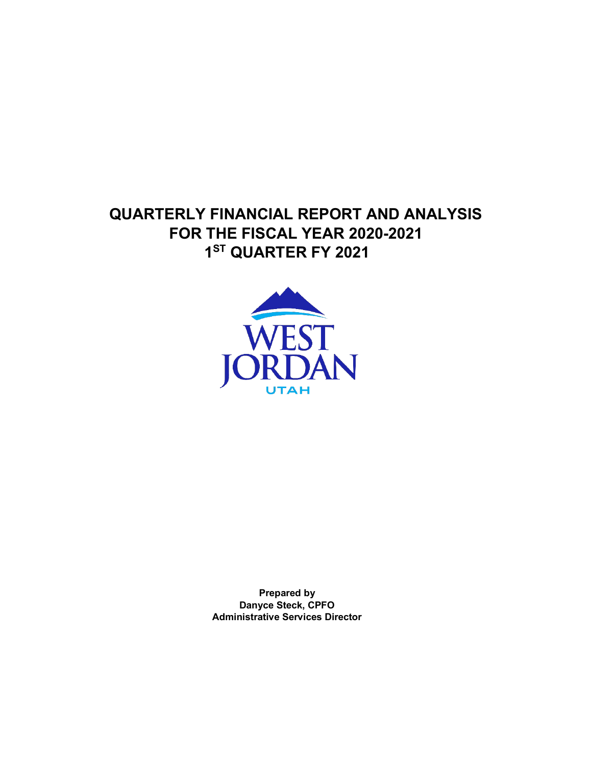## **QUARTERLY FINANCIAL REPORT AND ANALYSIS FOR THE FISCAL YEAR 2020-2021 1ST QUARTER FY 2021**



**Prepared by Danyce Steck, CPFO Administrative Services Director**